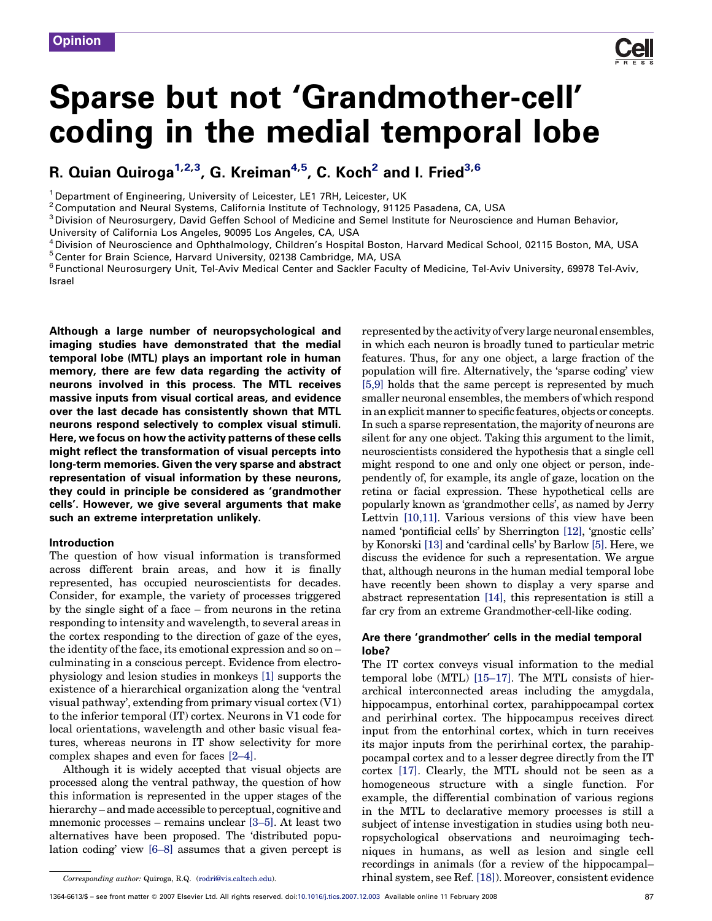# Sparse but not 'Grandmother-cell' coding in the medial temporal lobe

# R. Quian Quiroga<sup>1,2,3</sup>, G. Kreiman<sup>4,5</sup>, C. Koch<sup>2</sup> and I. Fried<sup>3,6</sup>

<sup>1</sup> Department of Engineering, University of Leicester, LE1 7RH, Leicester, UK

 $2$ Computation and Neural Systems, California Institute of Technology, 91125 Pasadena, CA, USA

<sup>3</sup> Division of Neurosurgery, David Geffen School of Medicine and Semel Institute for Neuroscience and Human Behavior,

University of California Los Angeles, 90095 Los Angeles, CA, USA

<sup>4</sup> Division of Neuroscience and Ophthalmology, Children's Hospital Boston, Harvard Medical School, 02115 Boston, MA, USA

<sup>5</sup>Center for Brain Science, Harvard University, 02138 Cambridge, MA, USA

<sup>6</sup> Functional Neurosurgery Unit, Tel-Aviv Medical Center and Sackler Faculty of Medicine, Tel-Aviv University, 69978 Tel-Aviv, Israel

Although a large number of neuropsychological and imaging studies have demonstrated that the medial temporal lobe (MTL) plays an important role in human memory, there are few data regarding the activity of neurons involved in this process. The MTL receives massive inputs from visual cortical areas, and evidence over the last decade has consistently shown that MTL neurons respond selectively to complex visual stimuli. Here, we focus on how the activity patterns of these cells might reflect the transformation of visual percepts into long-term memories. Given the very sparse and abstract representation of visual information by these neurons, they could in principle be considered as 'grandmother cells'. However, we give several arguments that make such an extreme interpretation unlikely.

#### Introduction

The question of how visual information is transformed across different brain areas, and how it is finally represented, has occupied neuroscientists for decades. Consider, for example, the variety of processes triggered by the single sight of a face – from neurons in the retina responding to intensity and wavelength, to several areas in the cortex responding to the direction of gaze of the eyes, the identity of the face, its emotional expression and so on – culminating in a conscious percept. Evidence from electrophysiology and lesion studies in monkeys [1] supports the existence of a hierarchical organization along the 'ventral visual pathway', extending from primary visual cortex (V1) to the inferior temporal (IT) cortex. Neurons in V1 code for local orientations, wavelength and other basic visual features, whereas neurons in IT show selectivity for more complex shapes and even for faces [2–4].

Although it is widely accepted that visual objects are processed along the ventral pathway, the question of how this information is represented in the upper stages of the hierarchy – and made accessible to perceptual, cognitive and mnemonic processes – remains unclear [3–5]. At least two alternatives have been proposed. The 'distributed population coding' view [6–8] assumes that a given percept is represented by the activity of very large neuronal ensembles, in which each neuron is broadly tuned to particular metric features. Thus, for any one object, a large fraction of the population will fire. Alternatively, the 'sparse coding' view [5,9] holds that the same percept is represented by much smaller neuronal ensembles, the members of which respond in an explicit manner to specific features, objects or concepts. In such a sparse representation, the majority of neurons are silent for any one object. Taking this argument to the limit, neuroscientists considered the hypothesis that a single cell might respond to one and only one object or person, independently of, for example, its angle of gaze, location on the retina or facial expression. These hypothetical cells are popularly known as 'grandmother cells', as named by Jerry Lettvin [10,11]. Various versions of this view have been named 'pontificial cells' by Sherrington [12], 'gnostic cells' by Konorski [13] and 'cardinal cells' by Barlow [5]. Here, we discuss the evidence for such a representation. We argue that, although neurons in the human medial temporal lobe have recently been shown to display a very sparse and abstract representation [14], this representation is still a far cry from an extreme Grandmother-cell-like coding.

#### Are there 'grandmother' cells in the medial temporal lobe?

The IT cortex conveys visual information to the medial temporal lobe (MTL) [15–17]. The MTL consists of hierarchical interconnected areas including the amygdala, hippocampus, entorhinal cortex, parahippocampal cortex and perirhinal cortex. The hippocampus receives direct input from the entorhinal cortex, which in turn receives its major inputs from the perirhinal cortex, the parahippocampal cortex and to a lesser degree directly from the IT cortex [17]. Clearly, the MTL should not be seen as a homogeneous structure with a single function. For example, the differential combination of various regions in the MTL to declarative memory processes is still a subject of intense investigation in studies using both neuropsychological observations and neuroimaging techniques in humans, as well as lesion and single cell recordings in animals (for a review of the hippocampal– rhinal system, see Ref. [18]). Moreover, consistent evidence

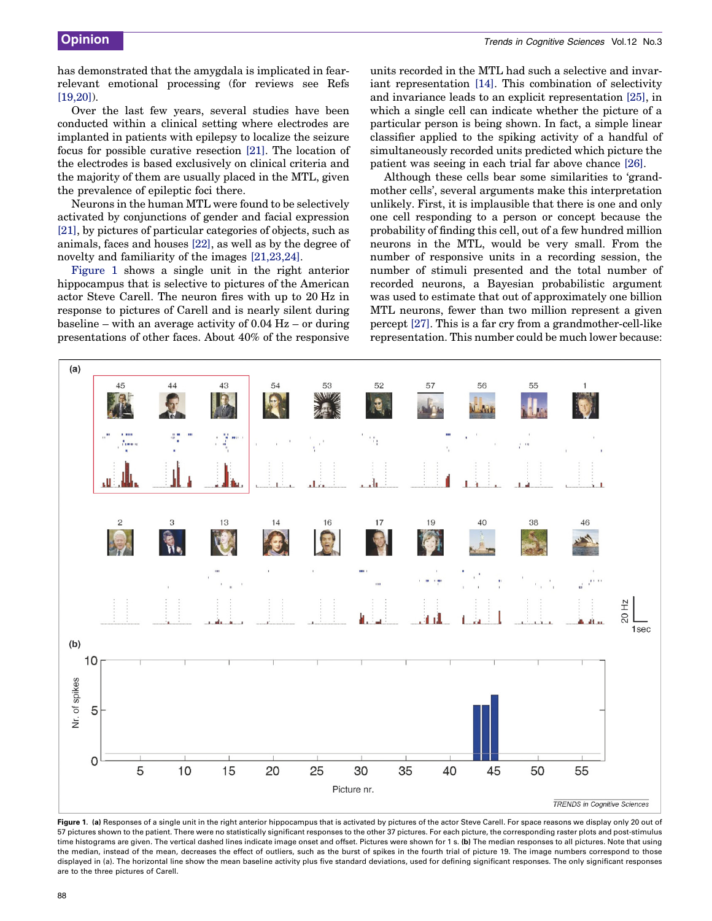has demonstrated that the amygdala is implicated in fearrelevant emotional processing (for reviews see Refs  $[19,20]$ ).

Over the last few years, several studies have been conducted within a clinical setting where electrodes are implanted in patients with epilepsy to localize the seizure focus for possible curative resection [21]. The location of the electrodes is based exclusively on clinical criteria and the majority of them are usually placed in the MTL, given the prevalence of epileptic foci there.

Neurons in the human MTL were found to be selectively activated by conjunctions of gender and facial expression [21], by pictures of particular categories of objects, such as animals, faces and houses [22], as well as by the degree of novelty and familiarity of the images [21,23,24].

Figure 1 shows a single unit in the right anterior hippocampus that is selective to pictures of the American actor Steve Carell. The neuron fires with up to 20 Hz in response to pictures of Carell and is nearly silent during baseline – with an average activity of 0.04 Hz – or during presentations of other faces. About 40% of the responsive

units recorded in the MTL had such a selective and invariant representation [14]. This combination of selectivity and invariance leads to an explicit representation [25], in which a single cell can indicate whether the picture of a particular person is being shown. In fact, a simple linear classifier applied to the spiking activity of a handful of simultaneously recorded units predicted which picture the patient was seeing in each trial far above chance [26].

Although these cells bear some similarities to 'grandmother cells', several arguments make this interpretation unlikely. First, it is implausible that there is one and only one cell responding to a person or concept because the probability of finding this cell, out of a few hundred million neurons in the MTL, would be very small. From the number of responsive units in a recording session, the number of stimuli presented and the total number of recorded neurons, a Bayesian probabilistic argument was used to estimate that out of approximately one billion MTL neurons, fewer than two million represent a given percept [27]. This is a far cry from a grandmother-cell-like representation. This number could be much lower because:



Figure 1. (a) Responses of a single unit in the right anterior hippocampus that is activated by pictures of the actor Steve Carell. For space reasons we display only 20 out of 57 pictures shown to the patient. There were no statistically significant responses to the other 37 pictures. For each picture, the corresponding raster plots and post-stimulus time histograms are given. The vertical dashed lines indicate image onset and offset. Pictures were shown for 1 s. (b) The median responses to all pictures. Note that using the median, instead of the mean, decreases the effect of outliers, such as the burst of spikes in the fourth trial of picture 19. The image numbers correspond to those displayed in (a). The horizontal line show the mean baseline activity plus five standard deviations, used for defining significant responses. The only significant responses are to the three pictures of Carell.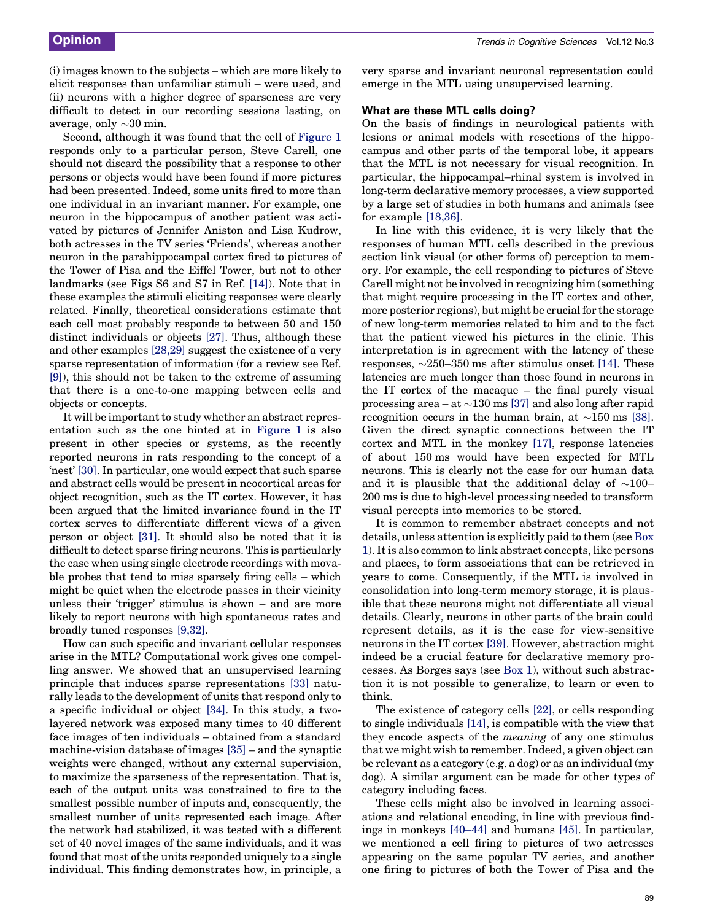(i) images known to the subjects – which are more likely to elicit responses than unfamiliar stimuli – were used, and (ii) neurons with a higher degree of sparseness are very difficult to detect in our recording sessions lasting, on average, only  $\sim 30$  min.

Second, although it was found that the cell of Figure 1 responds only to a particular person, Steve Carell, one should not discard the possibility that a response to other persons or objects would have been found if more pictures had been presented. Indeed, some units fired to more than one individual in an invariant manner. For example, one neuron in the hippocampus of another patient was activated by pictures of Jennifer Aniston and Lisa Kudrow, both actresses in the TV series 'Friends', whereas another neuron in the parahippocampal cortex fired to pictures of the Tower of Pisa and the Eiffel Tower, but not to other landmarks (see Figs S6 and S7 in Ref. [14]). Note that in these examples the stimuli eliciting responses were clearly related. Finally, theoretical considerations estimate that each cell most probably responds to between 50 and 150 distinct individuals or objects [27]. Thus, although these and other examples [28,29] suggest the existence of a very sparse representation of information (for a review see Ref. [9]), this should not be taken to the extreme of assuming that there is a one-to-one mapping between cells and objects or concepts.

It will be important to study whether an abstract representation such as the one hinted at in Figure 1 is also present in other species or systems, as the recently reported neurons in rats responding to the concept of a 'nest' [30]. In particular, one would expect that such sparse and abstract cells would be present in neocortical areas for object recognition, such as the IT cortex. However, it has been argued that the limited invariance found in the IT cortex serves to differentiate different views of a given person or object [31]. It should also be noted that it is difficult to detect sparse firing neurons. This is particularly the case when using single electrode recordings with movable probes that tend to miss sparsely firing cells – which might be quiet when the electrode passes in their vicinity unless their 'trigger' stimulus is shown – and are more likely to report neurons with high spontaneous rates and broadly tuned responses [9,32].

How can such specific and invariant cellular responses arise in the MTL? Computational work gives one compelling answer. We showed that an unsupervised learning principle that induces sparse representations [33] naturally leads to the development of units that respond only to a specific individual or object [34]. In this study, a twolayered network was exposed many times to 40 different face images of ten individuals – obtained from a standard machine-vision database of images [35] – and the synaptic weights were changed, without any external supervision, to maximize the sparseness of the representation. That is, each of the output units was constrained to fire to the smallest possible number of inputs and, consequently, the smallest number of units represented each image. After the network had stabilized, it was tested with a different set of 40 novel images of the same individuals, and it was found that most of the units responded uniquely to a single individual. This finding demonstrates how, in principle, a very sparse and invariant neuronal representation could emerge in the MTL using unsupervised learning.

#### What are these MTL cells doing?

On the basis of findings in neurological patients with lesions or animal models with resections of the hippocampus and other parts of the temporal lobe, it appears that the MTL is not necessary for visual recognition. In particular, the hippocampal–rhinal system is involved in long-term declarative memory processes, a view supported by a large set of studies in both humans and animals (see for example [18,36].

In line with this evidence, it is very likely that the responses of human MTL cells described in the previous section link visual (or other forms of) perception to memory. For example, the cell responding to pictures of Steve Carell might not be involved in recognizing him (something that might require processing in the IT cortex and other, more posterior regions), but might be crucial for the storage of new long-term memories related to him and to the fact that the patient viewed his pictures in the clinic. This interpretation is in agreement with the latency of these responses,  $\sim$ 250–350 ms after stimulus onset [14]. These latencies are much longer than those found in neurons in the IT cortex of the macaque – the final purely visual processing area  $-$  at  $\sim$ 130 ms [37] and also long after rapid recognition occurs in the human brain, at  $\sim$ 150 ms [38]. Given the direct synaptic connections between the IT cortex and MTL in the monkey [17], response latencies of about 150 ms would have been expected for MTL neurons. This is clearly not the case for our human data and it is plausible that the additional delay of  $\sim$ 100– 200 ms is due to high-level processing needed to transform visual percepts into memories to be stored.

It is common to remember abstract concepts and not details, unless attention is explicitly paid to them (see Box 1). It is also common to link abstract concepts, like persons and places, to form associations that can be retrieved in years to come. Consequently, if the MTL is involved in consolidation into long-term memory storage, it is plausible that these neurons might not differentiate all visual details. Clearly, neurons in other parts of the brain could represent details, as it is the case for view-sensitive neurons in the IT cortex [39]. However, abstraction might indeed be a crucial feature for declarative memory processes. As Borges says (see Box 1), without such abstraction it is not possible to generalize, to learn or even to think.

The existence of category cells [22], or cells responding to single individuals [14], is compatible with the view that they encode aspects of the meaning of any one stimulus that we might wish to remember. Indeed, a given object can be relevant as a category (e.g. a dog) or as an individual (my dog). A similar argument can be made for other types of category including faces.

These cells might also be involved in learning associations and relational encoding, in line with previous findings in monkeys [40–44] and humans [45]. In particular, we mentioned a cell firing to pictures of two actresses appearing on the same popular TV series, and another one firing to pictures of both the Tower of Pisa and the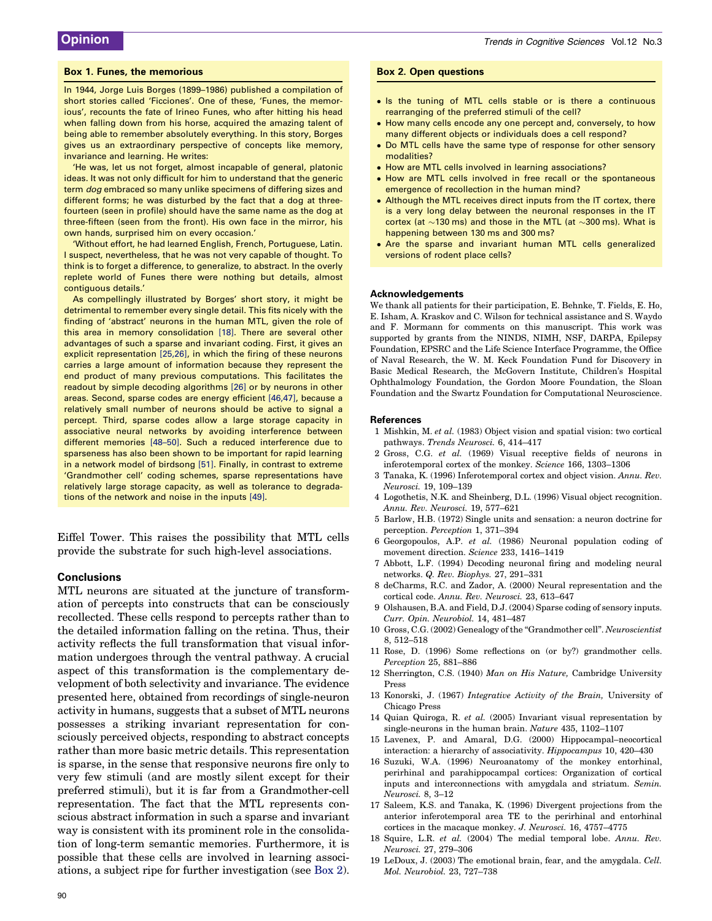#### Box 1. Funes, the memorious

In 1944, Jorge Luis Borges (1899–1986) published a compilation of short stories called 'Ficciones'. One of these, 'Funes, the memorious', recounts the fate of Irineo Funes, who after hitting his head when falling down from his horse, acquired the amazing talent of being able to remember absolutely everything. In this story, Borges gives us an extraordinary perspective of concepts like memory, invariance and learning. He writes:

'He was, let us not forget, almost incapable of general, platonic ideas. It was not only difficult for him to understand that the generic term dog embraced so many unlike specimens of differing sizes and different forms; he was disturbed by the fact that a dog at threefourteen (seen in profile) should have the same name as the dog at three-fifteen (seen from the front). His own face in the mirror, his own hands, surprised him on every occasion.'

'Without effort, he had learned English, French, Portuguese, Latin. I suspect, nevertheless, that he was not very capable of thought. To think is to forget a difference, to generalize, to abstract. In the overly replete world of Funes there were nothing but details, almost contiguous details.'

As compellingly illustrated by Borges' short story, it might be detrimental to remember every single detail. This fits nicely with the finding of 'abstract' neurons in the human MTL, given the role of this area in memory consolidation [18]. There are several other advantages of such a sparse and invariant coding. First, it gives an explicit representation [25,26], in which the firing of these neurons carries a large amount of information because they represent the end product of many previous computations. This facilitates the readout by simple decoding algorithms [26] or by neurons in other areas. Second, sparse codes are energy efficient [46,47], because a relatively small number of neurons should be active to signal a percept. Third, sparse codes allow a large storage capacity in associative neural networks by avoiding interference between different memories [48–50]. Such a reduced interference due to sparseness has also been shown to be important for rapid learning in a network model of birdsong [51]. Finally, in contrast to extreme 'Grandmother cell' coding schemes, sparse representations have relatively large storage capacity, as well as tolerance to degradations of the network and noise in the inputs [49].

Eiffel Tower. This raises the possibility that MTL cells provide the substrate for such high-level associations.

#### **Conclusions**

MTL neurons are situated at the juncture of transformation of percepts into constructs that can be consciously recollected. These cells respond to percepts rather than to the detailed information falling on the retina. Thus, their activity reflects the full transformation that visual information undergoes through the ventral pathway. A crucial aspect of this transformation is the complementary development of both selectivity and invariance. The evidence presented here, obtained from recordings of single-neuron activity in humans, suggests that a subset of MTL neurons possesses a striking invariant representation for consciously perceived objects, responding to abstract concepts rather than more basic metric details. This representation is sparse, in the sense that responsive neurons fire only to very few stimuli (and are mostly silent except for their preferred stimuli), but it is far from a Grandmother-cell representation. The fact that the MTL represents conscious abstract information in such a sparse and invariant way is consistent with its prominent role in the consolidation of long-term semantic memories. Furthermore, it is possible that these cells are involved in learning associations, a subject ripe for further investigation (see Box 2).

#### Box 2. Open questions

- Is the tuning of MTL cells stable or is there a continuous rearranging of the preferred stimuli of the cell?
- How many cells encode any one percept and, conversely, to how many different objects or individuals does a cell respond?
- . Do MTL cells have the same type of response for other sensory modalities?
- . How are MTL cells involved in learning associations?
- . How are MTL cells involved in free recall or the spontaneous emergence of recollection in the human mind?
- Although the MTL receives direct inputs from the IT cortex, there is a very long delay between the neuronal responses in the IT cortex (at  $\sim$ 130 ms) and those in the MTL (at  $\sim$ 300 ms). What is happening between 130 ms and 300 ms?
- . Are the sparse and invariant human MTL cells generalized versions of rodent place cells?

#### Acknowledgements

We thank all patients for their participation, E. Behnke, T. Fields, E. Ho, E. Isham, A. Kraskov and C. Wilson for technical assistance and S. Waydo and F. Mormann for comments on this manuscript. This work was supported by grants from the NINDS, NIMH, NSF, DARPA, Epilepsy Foundation, EPSRC and the Life Science Interface Programme, the Office of Naval Research, the W. M. Keck Foundation Fund for Discovery in Basic Medical Research, the McGovern Institute, Children's Hospital Ophthalmology Foundation, the Gordon Moore Foundation, the Sloan Foundation and the Swartz Foundation for Computational Neuroscience.

#### References

- 1 Mishkin, M. et al. (1983) Object vision and spatial vision: two cortical pathways. Trends Neurosci. 6, 414–417
- 2 Gross, C.G. et al. (1969) Visual receptive fields of neurons in inferotemporal cortex of the monkey. Science 166, 1303–1306
- 3 Tanaka, K. (1996) Inferotemporal cortex and object vision. Annu. Rev. Neurosci. 19, 109–139
- 4 Logothetis, N.K. and Sheinberg, D.L. (1996) Visual object recognition. Annu. Rev. Neurosci. 19, 577–621
- 5 Barlow, H.B. (1972) Single units and sensation: a neuron doctrine for perception. Perception 1, 371–394
- 6 Georgopoulos, A.P. et al. (1986) Neuronal population coding of movement direction. Science 233, 1416–1419
- 7 Abbott, L.F. (1994) Decoding neuronal firing and modeling neural networks. Q. Rev. Biophys. 27, 291–331
- 8 deCharms, R.C. and Zador, A. (2000) Neural representation and the cortical code. Annu. Rev. Neurosci. 23, 613–647
- 9 Olshausen, B.A. and Field, D.J. (2004) Sparse coding of sensory inputs. Curr. Opin. Neurobiol. 14, 481–487
- 10 Gross, C.G. (2002) Genealogy of the ''Grandmother cell''. Neuroscientist 8, 512–518
- 11 Rose, D. (1996) Some reflections on (or by?) grandmother cells. Perception 25, 881–886
- 12 Sherrington, C.S. (1940) Man on His Nature, Cambridge University Press
- 13 Konorski, J. (1967) Integrative Activity of the Brain, University of Chicago Press
- 14 Quian Quiroga, R. et al. (2005) Invariant visual representation by single-neurons in the human brain. Nature 435, 1102–1107
- 15 Lavenex, P. and Amaral, D.G. (2000) Hippocampal–neocortical interaction: a hierarchy of associativity. Hippocampus 10, 420–430
- 16 Suzuki, W.A. (1996) Neuroanatomy of the monkey entorhinal, perirhinal and parahippocampal cortices: Organization of cortical inputs and interconnections with amygdala and striatum. Semin. Neurosci. 8, 3–12
- 17 Saleem, K.S. and Tanaka, K. (1996) Divergent projections from the anterior inferotemporal area TE to the perirhinal and entorhinal cortices in the macaque monkey. J. Neurosci. 16, 4757–4775
- 18 Squire, L.R. et al. (2004) The medial temporal lobe. Annu. Rev. Neurosci. 27, 279–306
- 19 LeDoux, J. (2003) The emotional brain, fear, and the amygdala. Cell. Mol. Neurobiol. 23, 727–738